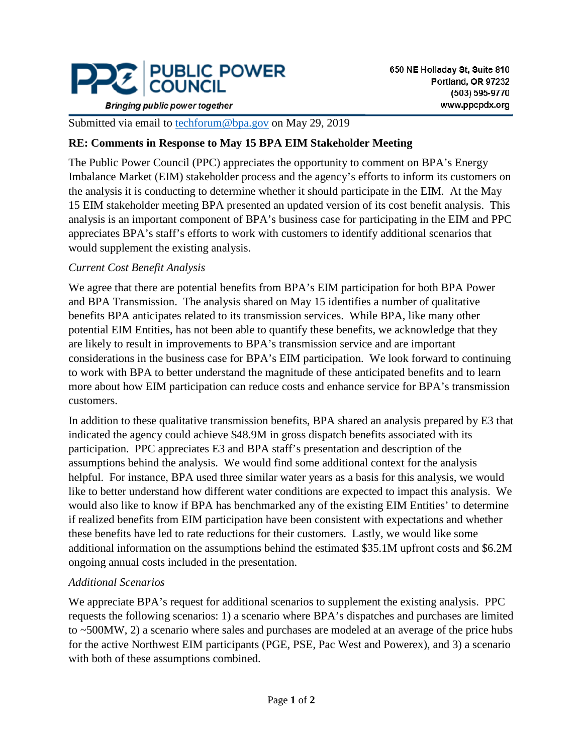

**Bringing public power together** 

Submitted via email to [techforum@bpa.gov](mailto:techforum@bpa.gov) on May 29, 2019

### **RE: Comments in Response to May 15 BPA EIM Stakeholder Meeting**

The Public Power Council (PPC) appreciates the opportunity to comment on BPA's Energy Imbalance Market (EIM) stakeholder process and the agency's efforts to inform its customers on the analysis it is conducting to determine whether it should participate in the EIM. At the May 15 EIM stakeholder meeting BPA presented an updated version of its cost benefit analysis. This analysis is an important component of BPA's business case for participating in the EIM and PPC appreciates BPA's staff's efforts to work with customers to identify additional scenarios that would supplement the existing analysis.

#### *Current Cost Benefit Analysis*

We agree that there are potential benefits from BPA's EIM participation for both BPA Power and BPA Transmission. The analysis shared on May 15 identifies a number of qualitative benefits BPA anticipates related to its transmission services. While BPA, like many other potential EIM Entities, has not been able to quantify these benefits, we acknowledge that they are likely to result in improvements to BPA's transmission service and are important considerations in the business case for BPA's EIM participation. We look forward to continuing to work with BPA to better understand the magnitude of these anticipated benefits and to learn more about how EIM participation can reduce costs and enhance service for BPA's transmission customers.

In addition to these qualitative transmission benefits, BPA shared an analysis prepared by E3 that indicated the agency could achieve \$48.9M in gross dispatch benefits associated with its participation. PPC appreciates E3 and BPA staff's presentation and description of the assumptions behind the analysis. We would find some additional context for the analysis helpful. For instance, BPA used three similar water years as a basis for this analysis, we would like to better understand how different water conditions are expected to impact this analysis. We would also like to know if BPA has benchmarked any of the existing EIM Entities' to determine if realized benefits from EIM participation have been consistent with expectations and whether these benefits have led to rate reductions for their customers. Lastly, we would like some additional information on the assumptions behind the estimated \$35.1M upfront costs and \$6.2M ongoing annual costs included in the presentation.

#### *Additional Scenarios*

We appreciate BPA's request for additional scenarios to supplement the existing analysis. PPC requests the following scenarios: 1) a scenario where BPA's dispatches and purchases are limited to ~500MW, 2) a scenario where sales and purchases are modeled at an average of the price hubs for the active Northwest EIM participants (PGE, PSE, Pac West and Powerex), and 3) a scenario with both of these assumptions combined.